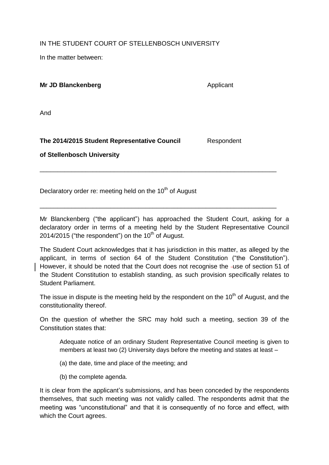IN THE STUDENT COURT OF STELLENBOSCH UNIVERSITY

In the matter between:

**Mr JD Blanckenberg <b>Applicant Applicant** 

And

## **The 2014/2015 Student Representative Council** Respondent

**of Stellenbosch University**

Declaratory order re: meeting held on the  $10<sup>th</sup>$  of August

Mr Blanckenberg ("the applicant") has approached the Student Court, asking for a declaratory order in terms of a meeting held by the Student Representative Council 2014/2015 ("the respondent") on the  $10<sup>th</sup>$  of August.

\_\_\_\_\_\_\_\_\_\_\_\_\_\_\_\_\_\_\_\_\_\_\_\_\_\_\_\_\_\_\_\_\_\_\_\_\_\_\_\_\_\_\_\_\_\_\_\_\_\_\_\_\_\_\_\_\_\_\_\_\_\_\_\_\_\_\_

\_\_\_\_\_\_\_\_\_\_\_\_\_\_\_\_\_\_\_\_\_\_\_\_\_\_\_\_\_\_\_\_\_\_\_\_\_\_\_\_\_\_\_\_\_\_\_\_\_\_\_\_\_\_\_\_\_\_\_\_\_\_\_\_\_\_\_

The Student Court acknowledges that it has jurisdiction in this matter, as alleged by the applicant, in terms of section 64 of the Student Constitution ("the Constitution"). However, it should be noted that the Court does not recognise the -use of section 51 of the Student Constitution to establish standing, as such provision specifically relates to Student Parliament.

The issue in dispute is the meeting held by the respondent on the  $10<sup>th</sup>$  of August, and the constitutionality thereof.

On the question of whether the SRC may hold such a meeting, section 39 of the Constitution states that:

Adequate notice of an ordinary Student Representative Council meeting is given to members at least two (2) University days before the meeting and states at least –

- (a) the date, time and place of the meeting; and
- (b) the complete agenda.

It is clear from the applicant's submissions, and has been conceded by the respondents themselves, that such meeting was not validly called. The respondents admit that the meeting was "unconstitutional" and that it is consequently of no force and effect, with which the Court agrees.